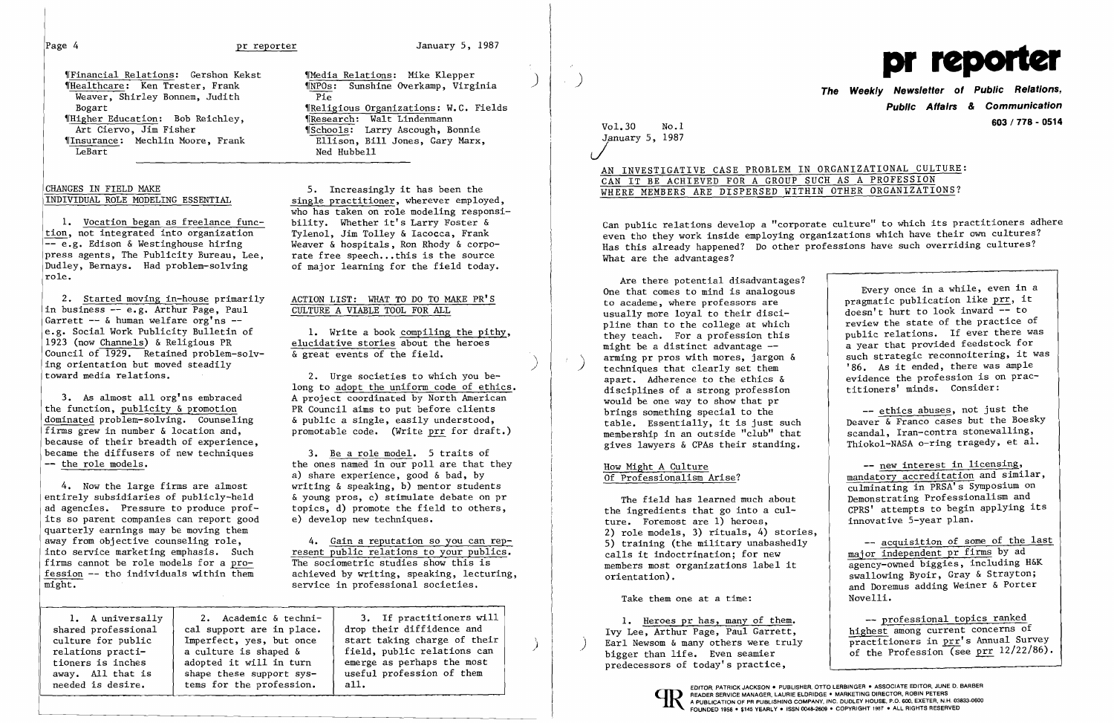## Page 4 **pr reporter** 1987 January 5, 1987

Wedia Relations: Gershon Kekst (Media Relations: Mike Klepper )<br>(Medithcare: Ken Trester, Frank (RPOs: Sunshine Overkamp, Virgi Weaver, Shirley Bonnem, Judith<br>Bogart We Higher Education: Bob Reichley,  $\overline{\text{Art C}i}$  Critics Lindenmann Risher

Vol. 30 No. 1 January 5, 1987 J

Can public relations develop a "corporate culture" to which its practitioners adhere even tho they work inside employing organizations which have their own cultures? Has this already happened? Do other professions have such overriding cultures? What are the advantages?

)

)



)

AN INVESTIGATIVE CASE PROBLEM IN ORGANIZATIONAL CULTURE:

# CAN IT BE ACHIEVED FOR A GROUP SUCH AS A PROFESSION WHERE MEMBERS ARE DISPERSED WITHIN OTHER ORGANIZATIONS?

Are there potential disadvantages? One that comes to mind is analogous to academe, where professors are usually more loyal to their discipline than to the college at which they teach. For a profession this might be a distinct advantage arming pr pros with mores, jargon & techniques that clearly set them apart. Adherence to the ethics & disciplines of a strong profession would be one way to show that pr brings something special to the table. Essentially, it is just such membership in an outside "club" that gives lawyers & CPAs their standing.

> -- acquisition of some of the last major independent pr firms by ad agency-owned biggies, including H&K swallowing Byoir, Gray & Strayton; and Doremus adding Weiner & Porter Novelli.

> -- professional topics ranked highest among current concerns of practitioners in prr's Annual Survey of the Profession (see prr 12/22/86).

### How Might A Culture Of Professionalism Arise?

The field has learned much about the ingredients that go into a culture. Foremost are 1) heroes, 2) role models, 3) rituals, 4) stories, 5) training (the military unabashedly calls it indoctrination; for new members most organizations label it orientation).

Take them one at a time:

1. Heroes pr has, many of them. Ivy Lee, Arthur Page, Paul Garrett, Earl Newsom & many others were truly bigger than life. Even seamier predecessors of today's practice,

**The Weekly Newsletter of Public Relations, Public Affairs**  *&* **Communication 603 / 778 - 0514** 

1. Vocation began as freelance func-<br>on, not integrated into organization Tylenol. Jim Tolley & Iacocca. Frank tion, not integrated into organization<br>-- e.g. Edison & Westinghouse hiring press agents, The Publicity Bureau, Lee,<br>Dudley, Bernays. Had problem-solving role.

> Every once in a while, even in a pragmatic publication like prr, it  $doesn't$  hurt to look inward  $\overline{-}$  to review the state of the practice of public relations. If ever there was a year that provided feedstock for such strategic reconnoitering, it was '86. As it ended, there was ample evidence the profession is on practitioners' minds. Consider:

2. Started moving in-house primarily<br>
business -- e.g. Arthur Page, Paul CULTURE A VIABLE TOOL FOR ALL in business  $-$  e.g. Arthur Page, Paul Garrett  $-$  & human welfare  $\text{org}^{\dagger}$ ns  $$ e.g. Social Work Publicity Bulletin of 1. Write a book compiling the pithy,<br>1923 (now Channels) & Religious PR elucidative stories about the heroes Council of  $\overline{1929}$ . Retained problem-solving orientation but moved steadily<br>toward media relations. toward media relations. 2. Urge societies to which you be

the function, <u>publicity & promotion</u><br>dominated problem-solving. Counseling a sensily a single, easily understood, dominated problem-solving. Counseling  $\&$  public a single, easily understood, firms grew in number  $\&$  location and, promotable code. (Write prr for draf because of their breadth of experience, became the diffusers of new techniques 3. Be a role model. 5 traits of  $-$  the role models.<br>the ones named in our poll are that that

4. Now the large firms are almost writing & speaking, b) mentor students<br>entirely subsidiaries of publicly-held (b) woung pros. c) stimulate debate on port entirely subsidiaries of publicly-held  $\alpha$  young pros, c) stimulate debate on pr ad agencies. Pressure to produce prof-<br>topics, d) promote the field to others, its so parent companies can report good quarterly earnings may be moving them<br>away from objective counseling role, away from objective counseling role,<br>into service marketing emphasis. Such the resent public relations to your publics. fession  $-$  tho individuals within them might.

'NPOs: Sunshine Overkamp, Virginia **Whee** The External organizations: W.C. Fields<br>(Research: Walt Lindenmann Art Ciervo, Jim Fisher (Schools: Larry Ascough, Bonnie (Insurance: Mechlin Moore, Frank (Ellison, Bill Jones, Gary Marx, Insurance: Mechlin Moore, Frank Ellison, Bill Jones, Gary Marx,<br>LeBart Ned Hubbell Ned Hubbell

CHANGES IN FIELD MAKE 5. Increasingly it has been the<br>INDIVIDUAL ROLE MODELING ESSENTIAL 5ingle practitioner, wherever employ single practitioner, wherever employed, who has taken on role modeling responsi-Weaver & hospitals, Ron Rhody & corpo-<br>rate free speech...this is the source of major learning for the field today.

elucidative stories about the heroes<br> $\&$  great events of the field. Γ

long to adopt the uniform code of ethics. 3. As almost all org'ns embraced<br>  $\alpha$  A project coordinated by North American<br>  $\alpha$  council aims to put before clients promotable code. (Write prr for draft.)

> the ones named in our poll are that they a) share experience, good & bad, by topics, d) promote the field to others,  $e)$  develop new techniques.

resent public relations to your publics.<br>The sociometric studies show this is firms cannot be role models for a  $pro-$ <br>
The sociometric studies show this is<br>
fession -- tho individuals within them<br>
achieved by writing, speaking, lecturing, service in professional societies.

shared professional  $\begin{array}{|l|l|}\n\hline\n\text{cal support are in place.} & \text{drop their difference and}\n\text{cuture for public} & \text{Imperfect, yes, but once} & \text{start taking charge of the}\n\end{array}$ away. All that is shape these support sys-<br>needed is desire. <br>tems for the profession. all. tems for the profession.

1. A universally  $\begin{vmatrix} 2. & \text{Academic & techni-} & 3. & \text{If practitioner will} \\ \text{ared professional} & \text{cal support are in place.} & \text{drop their difference and} \end{vmatrix}$ Imperfect, yes, but once  $\begin{array}{|l|l|}\n\hline\n\text{a culture is shaped & fileId, public relations can}\n\end{array}$ relations practi-<br>tioners is inches adopted it will in turn and  $\begin{array}{|l|l|}\n \hline\n \end{array}$  and  $\begin{array}{|l|l|}\n \hline\n \end{array}$  adopted it will in turn and  $\begin{array}{|l|l|}\n \hline\n \end{array}$  and  $\begin{array}{|l|l|}\n \hline\n \end{array}$  are  $\begin{array}{|l|l|}\n \hline\n \end{array$ tioners is inches adopted it will in turn emerge as perhaps the most away. All that is shape these support sys-<br>away. All that is shape these support sys-<br>asset useful profession of them

-- ethics abuses, not just the Deaver & Franco cases but the Boesky scandal, Iran-contra stonewalling, Thiokol-NASA o-ring tragedy, et al.

-- new interest in licensing, mandatory accreditation and similar, culminating in PRSA's Symposium on Demonstrating Professionalism and CPRS' attempts to begin applying its innovative 5-year plan.